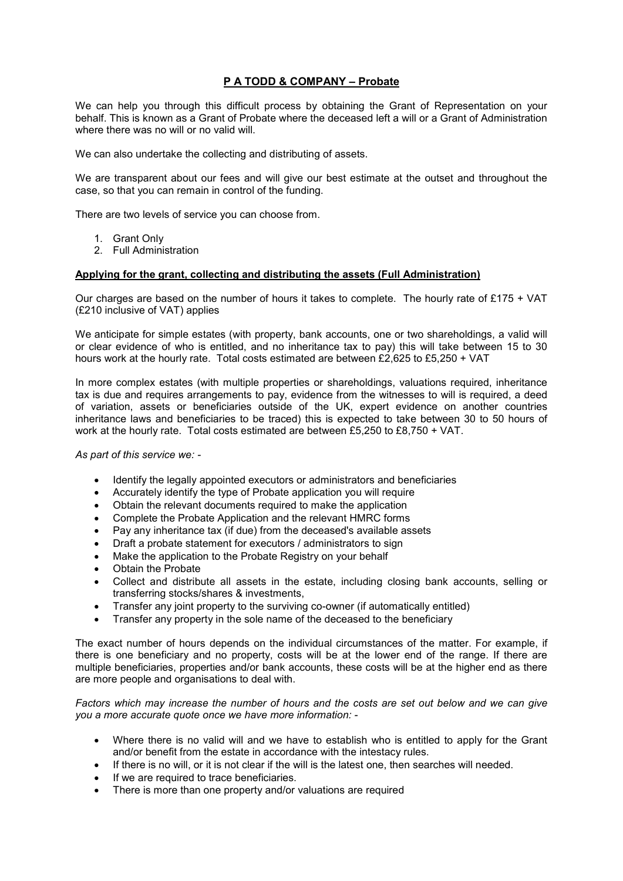# **P A TODD & COMPANY – Probate**

We can help you through this difficult process by obtaining the Grant of Representation on your behalf. This is known as a Grant of Probate where the deceased left a will or a Grant of Administration where there was no will or no valid will.

We can also undertake the collecting and distributing of assets.

We are transparent about our fees and will give our best estimate at the outset and throughout the case, so that you can remain in control of the funding.

There are two levels of service you can choose from.

- 1. Grant Only
- 2. Full Administration

#### **Applying for the grant, collecting and distributing the assets (Full Administration)**

Our charges are based on the number of hours it takes to complete. The hourly rate of £175 + VAT (£210 inclusive of VAT) applies

We anticipate for simple estates (with property, bank accounts, one or two shareholdings, a valid will or clear evidence of who is entitled, and no inheritance tax to pay) this will take between 15 to 30 hours work at the hourly rate. Total costs estimated are between £2,625 to £5,250 + VAT

In more complex estates (with multiple properties or shareholdings, valuations required, inheritance tax is due and requires arrangements to pay, evidence from the witnesses to will is required, a deed of variation, assets or beneficiaries outside of the UK, expert evidence on another countries inheritance laws and beneficiaries to be traced) this is expected to take between 30 to 50 hours of work at the hourly rate. Total costs estimated are between £5,250 to £8,750 + VAT.

*As part of this service we: -* 

- Identify the legally appointed executors or administrators and beneficiaries
- Accurately identify the type of Probate application you will require
- Obtain the relevant documents required to make the application
- Complete the Probate Application and the relevant HMRC forms
- Pay any inheritance tax (if due) from the deceased's available assets
- Draft a probate statement for executors / administrators to sign
- Make the application to the Probate Registry on your behalf
- Obtain the Probate
- Collect and distribute all assets in the estate, including closing bank accounts, selling or transferring stocks/shares & investments,
- Transfer any joint property to the surviving co-owner (if automatically entitled)
- Transfer any property in the sole name of the deceased to the beneficiary

The exact number of hours depends on the individual circumstances of the matter. For example, if there is one beneficiary and no property, costs will be at the lower end of the range. If there are multiple beneficiaries, properties and/or bank accounts, these costs will be at the higher end as there are more people and organisations to deal with.

*Factors which may increase the number of hours and the costs are set out below and we can give you a more accurate quote once we have more information: -* 

- Where there is no valid will and we have to establish who is entitled to apply for the Grant and/or benefit from the estate in accordance with the intestacy rules.
- If there is no will, or it is not clear if the will is the latest one, then searches will needed.
- If we are required to trace beneficiaries.
- There is more than one property and/or valuations are required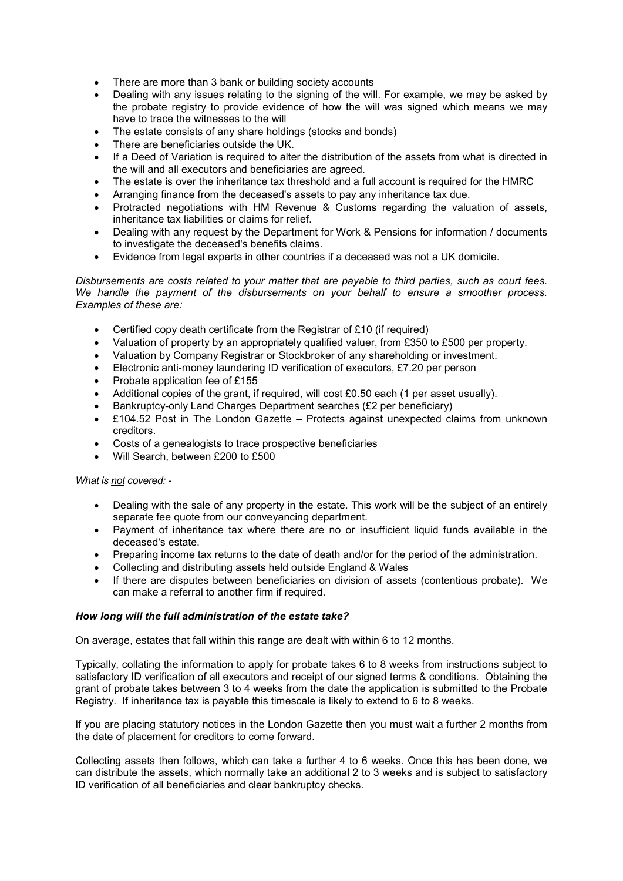- There are more than 3 bank or building society accounts
- Dealing with any issues relating to the signing of the will. For example, we may be asked by the probate registry to provide evidence of how the will was signed which means we may have to trace the witnesses to the will
- The estate consists of any share holdings (stocks and bonds)
- There are beneficiaries outside the UK.
- If a Deed of Variation is required to alter the distribution of the assets from what is directed in the will and all executors and beneficiaries are agreed.
- The estate is over the inheritance tax threshold and a full account is required for the HMRC
- Arranging finance from the deceased's assets to pay any inheritance tax due.
- Protracted negotiations with HM Revenue & Customs regarding the valuation of assets, inheritance tax liabilities or claims for relief.
- Dealing with any request by the Department for Work & Pensions for information / documents to investigate the deceased's benefits claims.
- Evidence from legal experts in other countries if a deceased was not a UK domicile.

*Disbursements are costs related to your matter that are payable to third parties, such as court fees. We handle the payment of the disbursements on your behalf to ensure a smoother process. Examples of these are:* 

- Certified copy death certificate from the Registrar of £10 (if required)
- Valuation of property by an appropriately qualified valuer, from £350 to £500 per property.
- Valuation by Company Registrar or Stockbroker of any shareholding or investment.
- Electronic anti-money laundering ID verification of executors, £7.20 per person
- Probate application fee of £155
- Additional copies of the grant, if required, will cost £0.50 each (1 per asset usually).
- Bankruptcy-only Land Charges Department searches (£2 per beneficiary)
- £104.52 Post in The London Gazette Protects against unexpected claims from unknown creditors.
- Costs of a genealogists to trace prospective beneficiaries
- Will Search, between £200 to £500

*What is not covered: -* 

- Dealing with the sale of any property in the estate. This work will be the subject of an entirely separate fee quote from our conveyancing department.
- Payment of inheritance tax where there are no or insufficient liquid funds available in the deceased's estate.
- Preparing income tax returns to the date of death and/or for the period of the administration.
- Collecting and distributing assets held outside England & Wales
- If there are disputes between beneficiaries on division of assets (contentious probate). We can make a referral to another firm if required.

## *How long will the full administration of the estate take?*

On average, estates that fall within this range are dealt with within 6 to 12 months.

Typically, collating the information to apply for probate takes 6 to 8 weeks from instructions subject to satisfactory ID verification of all executors and receipt of our signed terms & conditions. Obtaining the grant of probate takes between 3 to 4 weeks from the date the application is submitted to the Probate Registry. If inheritance tax is payable this timescale is likely to extend to 6 to 8 weeks.

If you are placing statutory notices in the London Gazette then you must wait a further 2 months from the date of placement for creditors to come forward.

Collecting assets then follows, which can take a further 4 to 6 weeks. Once this has been done, we can distribute the assets, which normally take an additional 2 to 3 weeks and is subject to satisfactory ID verification of all beneficiaries and clear bankruptcy checks.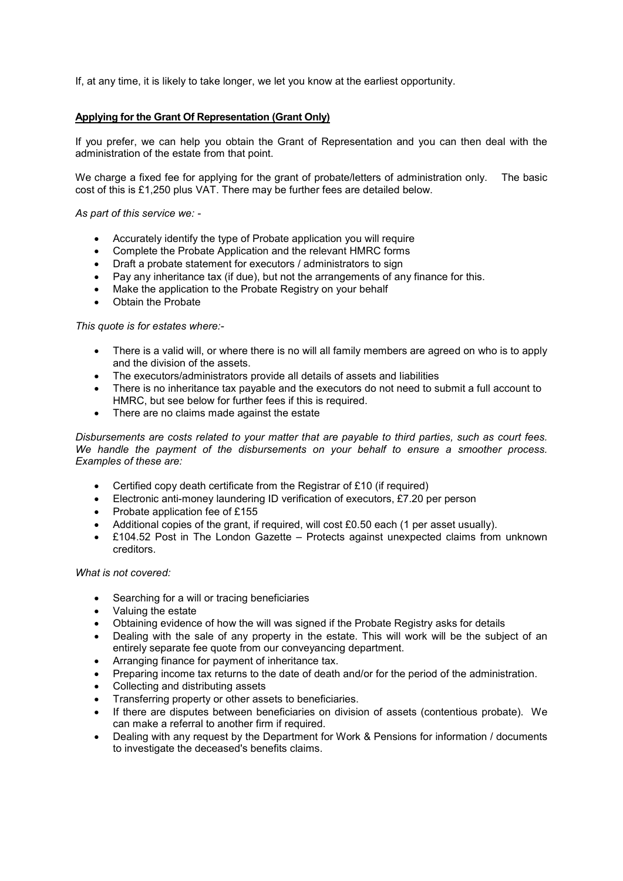If, at any time, it is likely to take longer, we let you know at the earliest opportunity.

### **Applying for the Grant Of Representation (Grant Only)**

If you prefer, we can help you obtain the Grant of Representation and you can then deal with the administration of the estate from that point.

We charge a fixed fee for applying for the grant of probate/letters of administration only. The basic cost of this is £1,250 plus VAT. There may be further fees are detailed below.

*As part of this service we: -* 

- Accurately identify the type of Probate application you will require
- Complete the Probate Application and the relevant HMRC forms
- Draft a probate statement for executors / administrators to sign
- Pay any inheritance tax (if due), but not the arrangements of any finance for this.
- Make the application to the Probate Registry on your behalf
- Obtain the Probate

#### *This quote is for estates where:-*

- There is a valid will, or where there is no will all family members are agreed on who is to apply and the division of the assets.
- The executors/administrators provide all details of assets and liabilities
- There is no inheritance tax payable and the executors do not need to submit a full account to HMRC, but see below for further fees if this is required.
- There are no claims made against the estate

*Disbursements are costs related to your matter that are payable to third parties, such as court fees. We handle the payment of the disbursements on your behalf to ensure a smoother process. Examples of these are:* 

- Certified copy death certificate from the Registrar of £10 (if required)
- Electronic anti-money laundering ID verification of executors, £7.20 per person
- Probate application fee of £155
- Additional copies of the grant, if required, will cost £0.50 each (1 per asset usually).
- £104.52 Post in The London Gazette Protects against unexpected claims from unknown creditors.

*What is not covered:* 

- Searching for a will or tracing beneficiaries
- Valuing the estate
- Obtaining evidence of how the will was signed if the Probate Registry asks for details
- Dealing with the sale of any property in the estate. This will work will be the subject of an entirely separate fee quote from our conveyancing department.
- Arranging finance for payment of inheritance tax.
- Preparing income tax returns to the date of death and/or for the period of the administration.
- Collecting and distributing assets
- Transferring property or other assets to beneficiaries.
- If there are disputes between beneficiaries on division of assets (contentious probate). We can make a referral to another firm if required.
- Dealing with any request by the Department for Work & Pensions for information / documents to investigate the deceased's benefits claims.